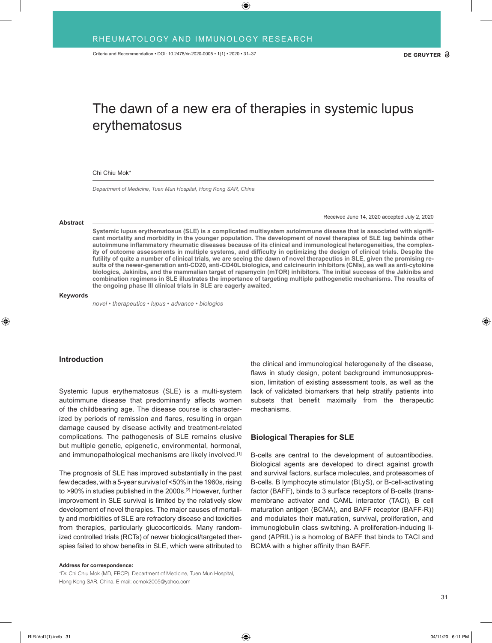# The dawn of a new era of therapies in systemic lupus erythematosus

Chi Chiu Mok\*

*Department of Medicine, Tuen Mun Hospital, Hong Kong SAR, China*

Received June 14, 2020 accepted July 2, 2020

**Systemic lupus erythematosus (SLE) is a complicated multisystem autoimmune disease that is associated with significant mortality and morbidity in the younger population. The development of novel therapies of SLE lag behinds other autoimmune inflammatory rheumatic diseases because of its clinical and immunological heterogeneities, the complexity of outcome assessments in multiple systems, and difficulty in optimizing the design of clinical trials. Despite the**  futility of quite a number of clinical trials, we are seeing the dawn of novel therapeutics in SLE, given the promising re**sults of the newer-generation anti-CD20, anti-CD40L biologics, and calcineurin inhibitors (CNIs), as well as anti-cytokine biologics, Jakinibs, and the mammalian target of rapamycin (mTOR) inhibitors. The initial success of the Jakinibs and combination regimens in SLE illustrates the importance of targeting multiple pathogenetic mechanisms. The results of the ongoing phase III clinical trials in SLE are eagerly awaited.**

#### **Keywords**

**Abstract**

*novel • therapeutics • lupus • advance • biologics*

# **Introduction**

Systemic lupus erythematosus (SLE) is a multi-system autoimmune disease that predominantly affects women of the childbearing age. The disease course is characterized by periods of remission and flares, resulting in organ damage caused by disease activity and treatment-related complications. The pathogenesis of SLE remains elusive but multiple genetic, epigenetic, environmental, hormonal, and immunopathological mechanisms are likely involved.<sup>[1]</sup>

The prognosis of SLE has improved substantially in the past few decades, with a 5-year survival of <50% in the 1960s, rising to >90% in studies published in the 2000s.<sup>[2]</sup> However, further improvement in SLE survival is limited by the relatively slow development of novel therapies. The major causes of mortality and morbidities of SLE are refractory disease and toxicities from therapies, particularly glucocorticoids. Many randomized controlled trials (RCTs) of newer biological/targeted therapies failed to show benefits in SLE, which were attributed to

**Address for correspondence:** \*Dr. Chi Chiu Mok (MD, FRCP), Department of Medicine, Tuen Mun Hospital, Hong Kong SAR, China. E-mail: ccmok2005@yahoo.com

the clinical and immunological heterogeneity of the disease, flaws in study design, potent background immunosuppression, limitation of existing assessment tools, as well as the lack of validated biomarkers that help stratify patients into subsets that benefit maximally from the therapeutic mechanisms.

## **Biological Therapies for SLE**

B-cells are central to the development of autoantibodies. Biological agents are developed to direct against growth and survival factors, surface molecules, and proteasomes of B-cells. B lymphocyte stimulator (BLyS), or B-cell-activating factor (BAFF), binds to 3 surface receptors of B-cells (transmembrane activator and CAML interactor (TACI), B cell maturation antigen (BCMA), and BAFF receptor (BAFF-R)) and modulates their maturation, survival, proliferation, and immunoglobulin class switching. A proliferation-inducing ligand (APRIL) is a homolog of BAFF that binds to TACI and BCMA with a higher affinity than BAFF.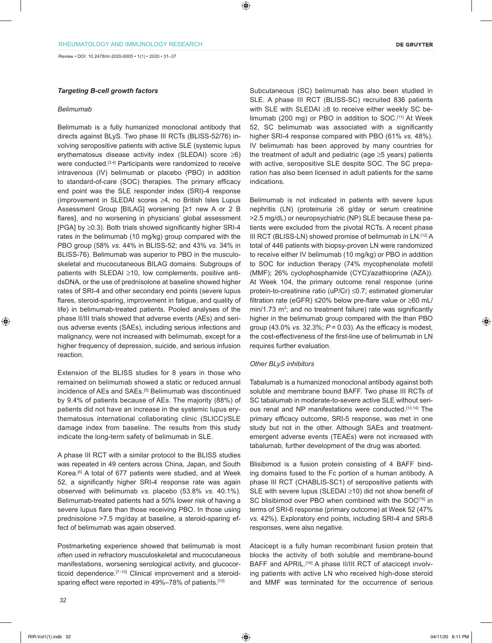Review • DOI: 10.2478/rir-2020-0005 • 1(1) • 2020 • 31–37

## *Targeting B-cell growth factors*

## *Belimumab*

Belimumab is a fully humanized monoclonal antibody that directs against BLyS. Two phase III RCTs (BLISS-52/76) involving seropositive patients with active SLE (systemic lupus erythematosus disease activity index (SLEDAI) score ≥6) were conducted.<sup>[3,4]</sup> Participants were randomized to receive intravenous (IV) belimumab or placebo (PBO) in addition to standard-of-care (SOC) therapies. The primary efficacy end point was the SLE responder index (SRI)-4 response (improvement in SLEDAI scores ≥4, no British Isles Lupus Assessment Group [BILAG] worsening [≥1 new A or 2 B flares], and no worsening in physicians' global assessment [PGA] by ≥0.3). Both trials showed significantly higher SRI-4 rates in the belimumab (10 mg/kg) group compared with the PBO group (58% *vs.* 44% in BLISS-52; and 43% *vs.* 34% in BLISS-76). Belimumab was superior to PBO in the musculoskeletal and mucocutaneous BILAG domains. Subgroups of patients with SLEDAI ≥10, low complements, positive antidsDNA, or the use of prednisolone at baseline showed higher rates of SRI-4 and other secondary end points (severe lupus flares, steroid-sparing, improvement in fatigue, and quality of life) in belimumab-treated patients. Pooled analyses of the phase II/III trials showed that adverse events (AEs) and serious adverse events (SAEs), including serious infections and malignancy, were not increased with belimumab, except for a higher frequency of depression, suicide, and serious infusion reaction.

Extension of the BLISS studies for 8 years in those who remained on belimumab showed a static or reduced annual incidence of AEs and SAEs.<sup>[5]</sup> Belimumab was discontinued by 9.4% of patients because of AEs. The majority (88%) of patients did not have an increase in the systemic lupus erythematosus international collaborating clinic (SLICC)/SLE damage index from baseline. The results from this study indicate the long-term safety of belimumab in SLE.

A phase III RCT with a similar protocol to the BLISS studies was repeated in 49 centers across China, Japan, and South Korea.[6] A total of 677 patients were studied, and at Week 52, a significantly higher SRI-4 response rate was again observed with belimumab *vs.* placebo (53.8% *vs.* 40.1%). Belimumab-treated patients had a 50% lower risk of having a severe lupus flare than those receiving PBO. In those using prednisolone >7.5 mg/day at baseline, a steroid-sparing effect of belimumab was again observed.

Postmarketing experience showed that belimumab is most often used in refractory musculoskeletal and mucocutaneous manifestations, worsening serological activity, and glucocorticoid dependence.<sup>[7-10]</sup> Clinical improvement and a steroidsparing effect were reported in 49%–78% of patients.<sup>[10]</sup>

Subcutaneous (SC) belimumab has also been studied in SLE. A phase III RCT (BLISS-SC) recruited 836 patients with SLE with SLEDAI ≥8 to receive either weekly SC belimumab (200 mg) or PBO in addition to SOC.[11] At Week 52, SC belimumab was associated with a significantly higher SRI-4 response compared with PBO (61% *vs.* 48%). IV belimumab has been approved by many countries for the treatment of adult and pediatric (age  $\geq$ 5 years) patients with active, seropositive SLE despite SOC. The SC preparation has also been licensed in adult patients for the same indications.

Belimumab is not indicated in patients with severe lupus nephritis (LN) (proteinuria ≥6 g/day or serum creatinine >2.5 mg/dL) or neuropsychiatric (NP) SLE because these patients were excluded from the pivotal RCTs. A recent phase III RCT (BLISS-LN) showed promise of belimumab in LN.[12] A total of 446 patients with biopsy-proven LN were randomized to receive either IV belimumab (10 mg/kg) or PBO in addition to SOC for induction therapy (74% mycophenolate mofetil (MMF); 26% cyclophosphamide (CYC)/azathioprine (AZA)). At Week 104, the primary outcome renal response (urine protein-to-creatinine ratio (uP/Cr) ≤0.7; estimated glomerular filtration rate (eGFR) ≤20% below pre-flare value or ≥60 mL/  $min/1.73$   $m^2$ ; and no treatment failure) rate was significantly higher in the belimumab group compared with the than PBO group (43.0% *vs.* 32.3%; *P* = 0.03). As the efficacy is modest, the cost-effectiveness of the first-line use of belimumab in LN requires further evaluation.

#### *Other BLyS inhibitors*

Tabalumab is a humanized monoclonal antibody against both soluble and membrane bound BAFF. Two phase III RCTs of SC tabalumab in moderate-to-severe active SLE without serious renal and NP manifestations were conducted.[13,14] The primary efficacy outcome, SRI-5 response, was met in one study but not in the other. Although SAEs and treatmentemergent adverse events (TEAEs) were not increased with tabalumab, further development of the drug was aborted.

Blisibimod is a fusion protein consisting of 4 BAFF binding domains fused to the Fc portion of a human antibody. A phase III RCT (CHABLIS-SC1) of seropositive patients with SLE with severe lupus (SLEDAI ≥10) did not show benefit of SC blisibimod over PBO when combined with the SOC<sup>[15]</sup> in terms of SRI-6 response (primary outcome) at Week 52 (47% *vs.* 42%). Exploratory end points, including SRI-4 and SRI-8 responses, were also negative.

Atacicept is a fully human recombinant fusion protein that blocks the activity of both soluble and membrane-bound BAFF and APRIL.<sup>[16]</sup> A phase II/III RCT of atacicept involving patients with active LN who received high-dose steroid and MMF was terminated for the occurrence of serious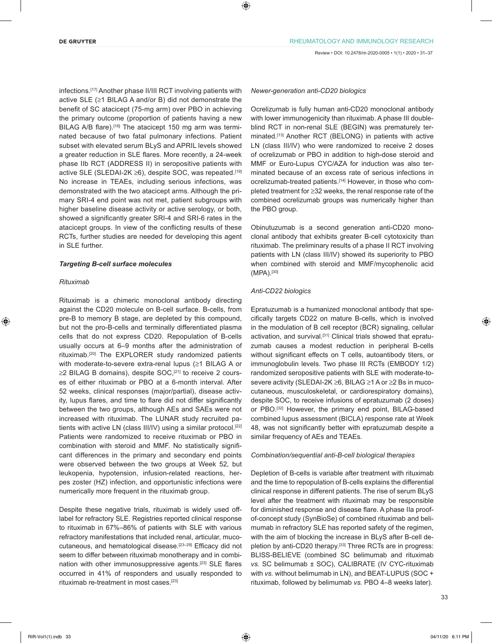infections.[17] Another phase II/III RCT involving patients with active SLE (≥1 BILAG A and/or B) did not demonstrate the benefit of SC atacicept (75-mg arm) over PBO in achieving the primary outcome (proportion of patients having a new BILAG A/B flare).<sup>[18]</sup> The atacicept 150 mg arm was terminated because of two fatal pulmonary infections. Patient subset with elevated serum BLyS and APRIL levels showed a greater reduction in SLE flares. More recently, a 24-week phase IIb RCT (ADDRESS II) in seropositive patients with active SLE (SLEDAI-2K ≥6), despite SOC, was repeated.[19] No increase in TEAEs, including serious infections, was demonstrated with the two atacicept arms. Although the primary SRI-4 end point was not met, patient subgroups with higher baseline disease activity or active serology, or both, showed a significantly greater SRI-4 and SRI-6 rates in the atacicept groups. In view of the conflicting results of these RCTs, further studies are needed for developing this agent in SLE further.

## *Targeting B-cell surface molecules*

## *Rituximab*

Rituximab is a chimeric monoclonal antibody directing against the CD20 molecule on B-cell surface. B-cells, from pre-B to memory B stage, are depleted by this compound, but not the pro-B-cells and terminally differentiated plasma cells that do not express CD20. Repopulation of B-cells usually occurs at 6–9 months after the administration of rituximab.[20] The EXPLORER study randomized patients with moderate-to-severe extra-renal lupus (≥1 BILAG A or ≥2 BILAG B domains), despite SOC,<sup>[21]</sup> to receive 2 courses of either rituximab or PBO at a 6-month interval. After 52 weeks, clinical responses (major/partial), disease activity, lupus flares, and time to flare did not differ significantly between the two groups, although AEs and SAEs were not increased with rituximab. The LUNAR study recruited patients with active LN (class III/IV) using a similar protocol.<sup>[22]</sup> Patients were randomized to receive rituximab or PBO in combination with steroid and MMF. No statistically significant differences in the primary and secondary end points were observed between the two groups at Week 52, but leukopenia, hypotension, infusion-related reactions, herpes zoster (HZ) infection, and opportunistic infections were numerically more frequent in the rituximab group.

Despite these negative trials, rituximab is widely used offlabel for refractory SLE. Registries reported clinical response to rituximab in 67%–86% of patients with SLE with various refractory manifestations that included renal, articular, mucocutaneous, and hematological disease.<sup>[23–29]</sup> Efficacy did not seem to differ between rituximab monotherapy and in combination with other immunosuppressive agents.<sup>[23]</sup> SLE flares occurred in 41% of responders and usually responded to rituximab re-treatment in most cases.[23]

#### *Newer-generation anti-CD20 biologics*

Ocrelizumab is fully human anti-CD20 monoclonal antibody with lower immunogenicity than rituximab. A phase III doubleblind RCT in non-renal SLE (BEGIN) was prematurely terminated.[13] Another RCT (BELONG) in patients with active LN (class III/IV) who were randomized to receive 2 doses of ocrelizumab or PBO in addition to high-dose steroid and MMF or Euro-Lupus CYC/AZA for induction was also terminated because of an excess rate of serious infections in ocrelizumab-treated patients.<sup>[14]</sup> However, in those who completed treatment for ≥32 weeks, the renal response rate of the combined ocrelizumab groups was numerically higher than the PBO group.

Obinutuzumab is a second generation anti-CD20 monoclonal antibody that exhibits greater B-cell cytotoxicity than rituximab. The preliminary results of a phase II RCT involving patients with LN (class III/IV) showed its superiority to PBO when combined with steroid and MMF/mycophenolic acid (MPA).[30]

## *Anti-CD22 biologics*

Epratuzumab is a humanized monoclonal antibody that specifically targets CD22 on mature B-cells, which is involved in the modulation of B cell receptor (BCR) signaling, cellular activation, and survival.<sup>[31]</sup> Clinical trials showed that epratuzumab causes a modest reduction in peripheral B-cells without significant effects on T cells, autoantibody titers, or immunoglobulin levels. Two phase III RCTs (EMBODY 1/2) randomized seropositive patients with SLE with moderate-tosevere activity (SLEDAI-2K ≥6, BILAG ≥1 A or ≥2 Bs in mucocutaneous, musculoskeletal, or cardiorespiratory domains), despite SOC, to receive infusions of epratuzumab (2 doses) or PBO.[32] However, the primary end point, BILAG-based combined lupus assessment (BICLA) response rate at Week 48, was not significantly better with epratuzumab despite a similar frequency of AEs and TEAEs.

## *Combination/sequential anti-B-cell biological therapies*

Depletion of B-cells is variable after treatment with rituximab and the time to repopulation of B-cells explains the differential clinical response in different patients. The rise of serum BLyS level after the treatment with rituximab may be responsible for diminished response and disease flare. A phase IIa proofof-concept study (SynBioSe) of combined rituximab and belimumab in refractory SLE has reported safety of the regimen, with the aim of blocking the increase in BLyS after B-cell depletion by anti-CD20 therapy.[33] Three RCTs are in progress: BLISS-BELIEVE (combined SC belimumab and rituximab *vs.* SC belimumab ± SOC), CALIBRATE (IV CYC-rituximab with *vs.* without belimumab in LN), and BEAT-LUPUS (SOC + rituximab, followed by belimumab *vs.* PBO 4–8 weeks later).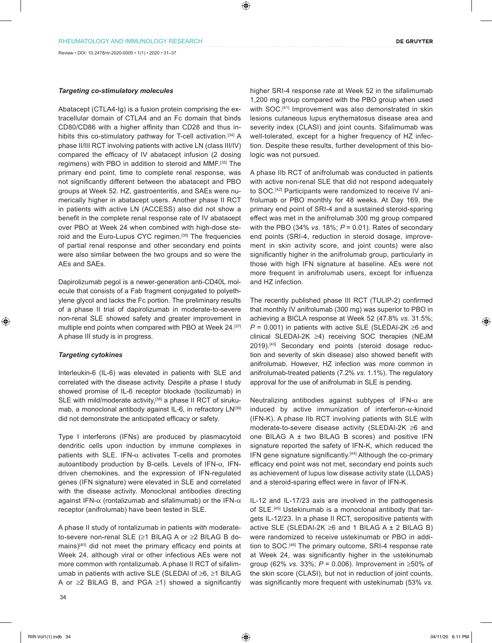## *Targeting co-stimulatory molecules*

Abatacept (CTLA4-Ig) is a fusion protein comprising the extracellular domain of CTLA4 and an Fc domain that binds CD80/CD86 with a higher affinity than CD28 and thus inhibits this co-stimulatory pathway for T-cell activation.<sup>[34]</sup> A phase II/III RCT involving patients with active LN (class III/IV) compared the efficacy of IV abatacept infusion (2 dosing regimens) with PBO in addition to steroid and MMF.[35] The primary end point, time to complete renal response, was not significantly different between the abatacept and PBO groups at Week 52. HZ, gastroenteritis, and SAEs were numerically higher in abatacept users. Another phase II RCT in patients with active LN (ACCESS) also did not show a benefit in the complete renal response rate of IV abatacept over PBO at Week 24 when combined with high-dose steroid and the Euro-Lupus CYC regimen.[36] The frequencies of partial renal response and other secondary end points were also similar between the two groups and so were the AEs and SAEs.

Dapirolizumab pegol is a newer-generation anti-CD40L molecule that consists of a Fab fragment conjugated to polyethylene glycol and lacks the Fc portion. The preliminary results of a phase II trial of dapirolizumab in moderate-to-severe non-renal SLE showed safety and greater improvement in multiple end points when compared with PBO at Week 24.<sup>[37]</sup> A phase III study is in progress.

#### *Targeting cytokines*

Interleukin-6 (IL-6) was elevated in patients with SLE and correlated with the disease activity. Despite a phase I study showed promise of IL-6 receptor blockade (tocilizumab) in SLE with mild/moderate activity,<sup>[38]</sup> a phase II RCT of sirukumab, a monoclonal antibody against IL-6, in refractory LN<sup>[39]</sup> did not demonstrate the anticipated efficacy or safety.

Type I interferons (IFNs) are produced by plasmacytoid dendritic cells upon induction by immune complexes in patients with SLE. IFN- $\alpha$  activates T-cells and promotes autoantibody production by B-cells. Levels of IFN-α, IFNdriven chemokines, and the expression of IFN-regulated genes (IFN signature) were elevated in SLE and correlated with the disease activity. Monoclonal antibodies directing against IFN- $\alpha$  (rontalizumab and sifalimumab) or the IFN- $\alpha$ receptor (anifrolumab) have been tested in SLE.

A phase II study of rontalizumab in patients with moderateto-severe non-renal SLE (≥1 BILAG A or ≥2 BILAG B domains)<sup>[40]</sup> did not meet the primary efficacy end points at Week 24, although viral or other infectious AEs were not more common with rontalizumab. A phase II RCT of sifalimumab in patients with active SLE (SLEDAI of ≥6, ≥1 BILAG A or ≥2 BILAG B, and PGA ≥1) showed a significantly

higher SRI-4 response rate at Week 52 in the sifalimumab 1,200 mg group compared with the PBO group when used with SOC.<sup>[41]</sup> Improvement was also demonstrated in skin lesions cutaneous lupus erythematosus disease area and severity index (CLASI) and joint counts. Sifalimumab was well-tolerated, except for a higher frequency of HZ infection. Despite these results, further development of this biologic was not pursued.

A phase IIb RCT of anifrolumab was conducted in patients with active non-renal SLE that did not respond adequately to SOC.<sup>[42]</sup> Participants were randomized to receive IV anifrolumab or PBO monthly for 48 weeks. At Day 169, the primary end point of SRI-4 and a sustained steroid-sparing effect was met in the anifrolumab 300 mg group compared with the PBO (34% *vs.* 18%; *P* = 0.01). Rates of secondary end points (SRI-4, reduction in steroid dosage, improvement in skin activity score, and joint counts) were also significantly higher in the anifrolumab group, particularly in those with high IFN signature at baseline. AEs were not more frequent in anifrolumab users, except for influenza and HZ infection.

The recently published phase III RCT (TULIP-2) confirmed that monthly IV anifrolumab (300 mg) was superior to PBO in achieving a BICLA response at Week 52 (47.8% *vs.* 31.5%; *P* = 0.001) in patients with active SLE (SLEDAI-2K ≥6 and clinical SLEDAI-2K ≥4) receiving SOC therapies (NEJM 2019).<sup>[43]</sup> Secondary end points (steroid dosage reduction and severity of skin disease) also showed benefit with anifrolumab. However, HZ infection was more common in anifrolumab-treated patients (7.2% *vs.* 1.1%). The regulatory approval for the use of anifrolumab in SLE is pending.

Neutralizing antibodies against subtypes of IFN-α are induced by active immunization of interferon-α-kinoid (IFN-K). A phase IIb RCT involving patients with SLE with moderate-to-severe disease activity (SLEDAI-2K ≥6 and one BILAG  $A \pm$  two BILAG B scores) and positive IFN signature reported the safety of IFN-K, which reduced the IFN gene signature significantly.[44] Although the co-primary efficacy end point was not met, secondary end points such as achievement of lupus low disease activity state (LLDAS) and a steroid-sparing effect were in favor of IFN-K.

IL-12 and IL-17/23 axis are involved in the pathogenesis of SLE.[45] Ustekinumab is a monoclonal antibody that targets IL-12/23. In a phase II RCT, seropositive patients with active SLE (SLEDAI-2K  $\geq 6$  and 1 BILAG A  $\pm$  2 BILAG B) were randomized to receive ustekinumab or PBO in addition to SOC.<sup>[46]</sup> The primary outcome, SRI-4 response rate at Week 24, was significantly higher in the ustekinumab group (62% *vs.* 33%; *P* = 0.006). Improvement in ≥50% of the skin score (CLASI), but not in reduction of joint counts, was significantly more frequent with ustekinumab (53% *vs.*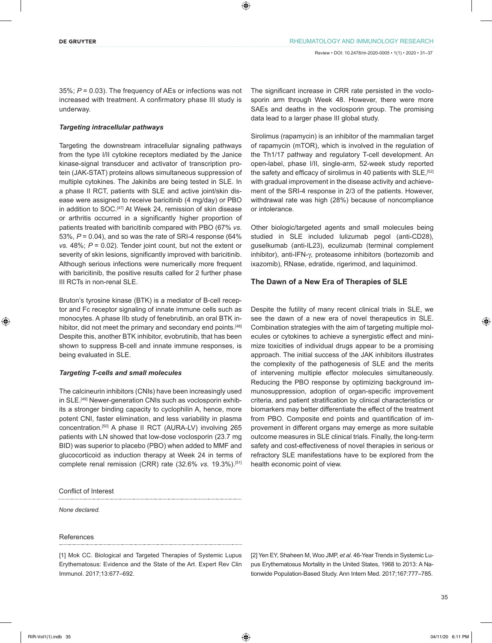35%; *P* = 0.03). The frequency of AEs or infections was not increased with treatment. A confirmatory phase III study is underway.

## *Targeting intracellular pathways*

Targeting the downstream intracellular signaling pathways from the type I/II cytokine receptors mediated by the Janice kinase-signal transducer and activator of transcription protein (JAK-STAT) proteins allows simultaneous suppression of multiple cytokines. The Jakinibs are being tested in SLE. In a phase II RCT, patients with SLE and active joint/skin disease were assigned to receive baricitinib (4 mg/day) or PBO in addition to SOC.<sup>[47]</sup> At Week 24, remission of skin disease or arthritis occurred in a significantly higher proportion of patients treated with baricitinib compared with PBO (67% *vs.* 53%, *P* = 0.04), and so was the rate of SRI-4 response (64% *vs.* 48%; *P* = 0.02). Tender joint count, but not the extent or severity of skin lesions, significantly improved with baricitinib. Although serious infections were numerically more frequent with baricitinib, the positive results called for 2 further phase III RCTs in non-renal SLE.

Bruton's tyrosine kinase (BTK) is a mediator of B-cell receptor and Fc receptor signaling of innate immune cells such as monocytes. A phase IIb study of fenebrutinib, an oral BTK inhibitor, did not meet the primary and secondary end points.<sup>[48]</sup> Despite this, another BTK inhibitor, evobrutinib, that has been shown to suppress B-cell and innate immune responses, is being evaluated in SLE.

## *Targeting T-cells and small molecules*

The calcineurin inhibitors (CNIs) have been increasingly used in SLE.<sup>[49]</sup> Newer-generation CNIs such as voclosporin exhibits a stronger binding capacity to cyclophilin A, hence, more potent CNI, faster elimination, and less variability in plasma concentration.[50] A phase II RCT (AURA-LV) involving 265 patients with LN showed that low-dose voclosporin (23.7 mg BID) was superior to placebo (PBO) when added to MMF and glucocorticoid as induction therapy at Week 24 in terms of complete renal remission (CRR) rate (32.6% *vs.* 19.3%).[51]

Conflict of Interest

*None declared.*

# References

[1] Mok CC. Biological and Targeted Therapies of Systemic Lupus Erythematosus: Evidence and the State of the Art. Expert Rev Clin Immunol. 2017;13:677–692.

The significant increase in CRR rate persisted in the voclosporin arm through Week 48. However, there were more SAEs and deaths in the voclosporin group. The promising data lead to a larger phase III global study.

Sirolimus (rapamycin) is an inhibitor of the mammalian target of rapamycin (mTOR), which is involved in the regulation of the Th1/17 pathway and regulatory T-cell development. An open-label, phase I/II, single-arm, 52-week study reported the safety and efficacy of sirolimus in 40 patients with SLE.<sup>[52]</sup> with gradual improvement in the disease activity and achievement of the SRI-4 response in 2/3 of the patients. However, withdrawal rate was high (28%) because of noncompliance or intolerance.

Other biologic/targeted agents and small molecules being studied in SLE included lulizumab pegol (anti-CD28), guselkumab (anti-IL23), eculizumab (terminal complement inhibitor), anti-IFN-γ, proteasome inhibitors (bortezomib and ixazomib), RNase, edratide, rigerimod, and laquinimod.

# **The Dawn of a New Era of Therapies of SLE**

Despite the futility of many recent clinical trials in SLE, we see the dawn of a new era of novel therapeutics in SLE. Combination strategies with the aim of targeting multiple molecules or cytokines to achieve a synergistic effect and minimize toxicities of individual drugs appear to be a promising approach. The initial success of the JAK inhibitors illustrates the complexity of the pathogenesis of SLE and the merits of intervening multiple effector molecules simultaneously. Reducing the PBO response by optimizing background immunosuppression, adoption of organ-specific improvement criteria, and patient stratification by clinical characteristics or biomarkers may better differentiate the effect of the treatment from PBO. Composite end points and quantification of improvement in different organs may emerge as more suitable outcome measures in SLE clinical trials. Finally, the long-term safety and cost-effectiveness of novel therapies in serious or refractory SLE manifestations have to be explored from the health economic point of view.

[2] Yen EY, Shaheen M, Woo JMP, *et al*. 46-Year Trends in Systemic Lupus Erythematosus Mortality in the United States, 1968 to 2013: A Nationwide Population-Based Study. Ann Intern Med. 2017;167:777–785.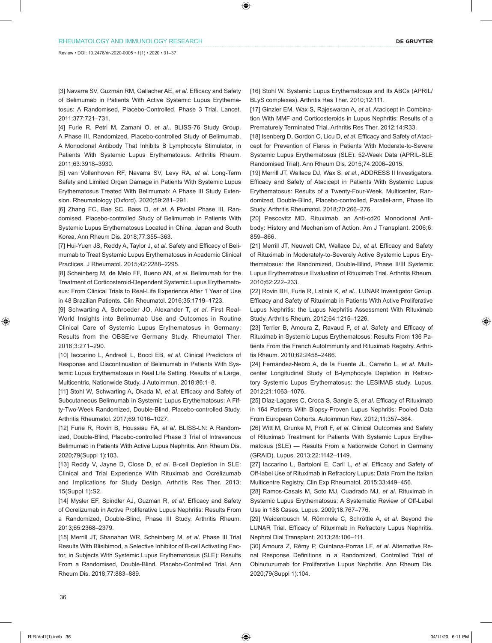[3] Navarra SV, Guzmán RM, Gallacher AE, *et al*. Efficacy and Safety of Belimumab in Patients With Active Systemic Lupus Erythematosus: A Randomised, Placebo-Controlled, Phase 3 Trial. Lancet. 2011;377:721–731.

[4] Furie R, Petri M, Zamani O, *et al*., BLISS-76 Study Group. A Phase III, Randomized, Placebo-controlled Study of Belimumab, A Monoclonal Antibody That Inhibits B Lymphocyte Stimulator, in Patients With Systemic Lupus Erythematosus. Arthritis Rheum. 2011;63:3918–3930.

[5] van Vollenhoven RF, Navarra SV, Levy RA, *et al*. Long-Term Safety and Limited Organ Damage in Patients With Systemic Lupus Erythematosus Treated With Belimumab: A Phase III Study Extension. Rheumatology (Oxford). 2020;59:281–291.

[6] Zhang FC, Bae SC, Bass D, *et al*. A Pivotal Phase III, Randomised, Placebo-controlled Study of Belimumab in Patients With Systemic Lupus Erythematosus Located in China, Japan and South Korea. Ann Rheum Dis. 2018;77:355–363.

[7] Hui-Yuen JS, Reddy A, Taylor J, *et al*. Safety and Efficacy of Belimumab to Treat Systemic Lupus Erythematosus in Academic Clinical Practices. J Rheumatol. 2015;42:2288–2295.

[8] Scheinberg M, de Melo FF, Bueno AN, *et al*. Belimumab for the Treatment of Corticosteroid-Dependent Systemic Lupus Erythematosus: From Clinical Trials to Real-Life Experience After 1 Year of Use in 48 Brazilian Patients. Clin Rheumatol. 2016;35:1719–1723.

[9] Schwarting A, Schroeder JO, Alexander T, *et al*. First Real-World Insights into Belimumab Use and Outcomes in Routine Clinical Care of Systemic Lupus Erythematosus in Germany: Results from the OBSErve Germany Study. Rheumatol Ther. 2016;3:271–290.

[10] Iaccarino L, Andreoli L, Bocci EB, *et al*. Clinical Predictors of Response and Discontinuation of Belimumab in Patients With Systemic Lupus Erythematosus in Real Life Setting. Results of a Large, Multicentric, Nationwide Study. J Autoimmun. 2018;86:1–8.

[11] Stohl W, Schwarting A, Okada M, *et al*. Efficacy and Safety of Subcutaneous Belimumab in Systemic Lupus Erythematosus: A Fifty-Two-Week Randomized, Double-Blind, Placebo-controlled Study. Arthritis Rheumatol. 2017;69:1016–1027.

[12] Furie R, Rovin B, Houssiau FA, *et al*. BLISS-LN: A Randomized, Double-Blind, Placebo-controlled Phase 3 Trial of Intravenous Belimumab in Patients With Active Lupus Nephritis. Ann Rheum Dis. 2020;79(Suppl 1):103.

[13] Reddy V, Jayne D, Close D, *et al*. B-cell Depletion in SLE: Clinical and Trial Experience With Rituximab and Ocrelizumab and Implications for Study Design. Arthritis Res Ther. 2013; 15(Suppl 1):S2.

[14] Mysler EF, Spindler AJ, Guzman R, *et al*. Efficacy and Safety of Ocrelizumab in Active Proliferative Lupus Nephritis: Results From a Randomized, Double-Blind, Phase III Study. Arthritis Rheum. 2013;65:2368–2379.

[15] Merrill JT, Shanahan WR, Scheinberg M, *et al*. Phase III Trial Results With Blisibimod, a Selective Inhibitor of B-cell Activating Factor, in Subjects With Systemic Lupus Erythematosus (SLE): Results From a Randomised, Double-Blind, Placebo-Controlled Trial. Ann Rheum Dis. 2018;77:883–889.

[16] Stohl W. Systemic Lupus Erythematosus and Its ABCs (APRIL/ BLyS complexes). Arthritis Res Ther. 2010;12:111.

[17] Ginzler EM, Wax S, Rajeswaran A, *et al*. Atacicept in Combination With MMF and Corticosteroids in Lupus Nephritis: Results of a Prematurely Terminated Trial. Arthritis Res Ther. 2012;14:R33.

[18] Isenberg D, Gordon C, Licu D, *et al*. Efficacy and Safety of Atacicept for Prevention of Flares in Patients With Moderate-to-Severe Systemic Lupus Erythematosus (SLE): 52-Week Data (APRIL-SLE Randomised Trial). Ann Rheum Dis. 2015;74:2006–2015.

[19] Merrill JT, Wallace DJ, Wax S, *et al*., ADDRESS II Investigators. Efficacy and Safety of Atacicept in Patients With Systemic Lupus Erythematosus: Results of a Twenty-Four-Week, Multicenter, Randomized, Double-Blind, Placebo-controlled, Parallel-arm, Phase IIb Study. Arthritis Rheumatol. 2018;70:266–276.

[20] Pescovitz MD. Rituximab, an Anti-cd20 Monoclonal Antibody: History and Mechanism of Action. Am J Transplant. 2006;6: 859–866.

[21] Merrill JT, Neuwelt CM, Wallace DJ, *et al*. Efficacy and Safety of Rituximab in Moderately-to-Severely Active Systemic Lupus Erythematosus: the Randomized, Double-Blind, Phase II/III Systemic Lupus Erythematosus Evaluation of Rituximab Trial. Arthritis Rheum. 2010;62:222–233.

[22] Rovin BH, Furie R, Latinis K, *et al*., LUNAR Investigator Group. Efficacy and Safety of Rituximab in Patients With Active Proliferative Lupus Nephritis: the Lupus Nephritis Assessment With Rituximab Study. Arthritis Rheum. 2012;64:1215–1226.

[23] Terrier B, Amoura Z, Ravaud P, *et al*. Safety and Efficacy of Rituximab in Systemic Lupus Erythematosus: Results From 136 Patients From the French AutoImmunity and Rituximab Registry. Arthritis Rheum. 2010;62:2458–2466.

[24] Fernández-Nebro A, de la Fuente JL, Carreño L, *et al*. Multicenter Longitudinal Study of B-lymphocyte Depletion in Refractory Systemic Lupus Erythematosus: the LESIMAB study. Lupus. 2012;21:1063–1076.

[25] Díaz-Lagares C, Croca S, Sangle S, *et al*. Efficacy of Rituximab in 164 Patients With Biopsy-Proven Lupus Nephritis: Pooled Data From European Cohorts. Autoimmun Rev. 2012;11:357–364.

[26] Witt M, Grunke M, Proft F, *et al*. Clinical Outcomes and Safety of Rituximab Treatment for Patients With Systemic Lupus Erythematosus (SLE) — Results From a Nationwide Cohort in Germany (GRAID). Lupus. 2013;22:1142–1149.

[27] Iaccarino L, Bartoloni E, Carli L, *et al*. Efficacy and Safety of Off-label Use of Rituximab in Refractory Lupus: Data From the Italian Multicentre Registry. Clin Exp Rheumatol. 2015;33:449–456.

[28] Ramos-Casals M, Soto MJ, Cuadrado MJ, *et al*. Rituximab in Systemic Lupus Erythematosus: A Systematic Review of Off-Label Use in 188 Cases. Lupus. 2009;18:767–776.

[29] Weidenbusch M, Römmele C, Schröttle A, *et al*. Beyond the LUNAR Trial. Efficacy of Rituximab in Refractory Lupus Nephritis. Nephrol Dial Transplant. 2013;28:106–111.

[30] Amoura Z, Rémy P, Quintana-Porras LF, *et al*. Alternative Renal Response Definitions in a Randomized, Controlled Trial of Obinutuzumab for Proliferative Lupus Nephritis. Ann Rheum Dis. 2020;79(Suppl 1):104.